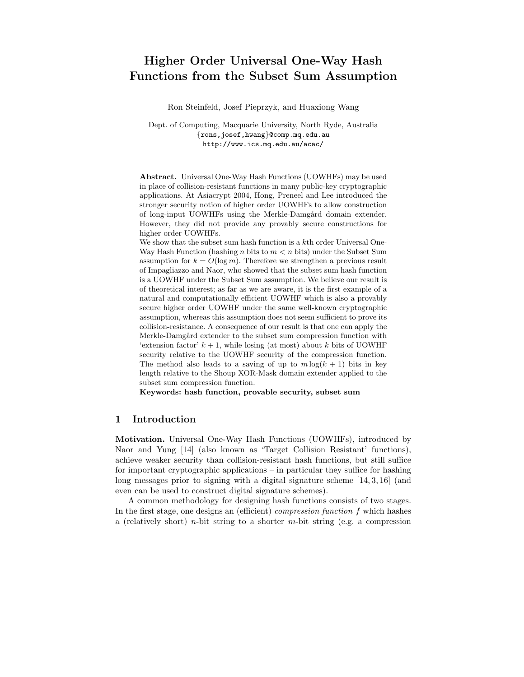# Higher Order Universal One-Way Hash Functions from the Subset Sum Assumption

Ron Steinfeld, Josef Pieprzyk, and Huaxiong Wang

Dept. of Computing, Macquarie University, North Ryde, Australia {rons,josef,hwang}@comp.mq.edu.au http://www.ics.mq.edu.au/acac/

Abstract. Universal One-Way Hash Functions (UOWHFs) may be used in place of collision-resistant functions in many public-key cryptographic applications. At Asiacrypt 2004, Hong, Preneel and Lee introduced the stronger security notion of higher order UOWHFs to allow construction of long-input UOWHFs using the Merkle-Damgård domain extender. However, they did not provide any provably secure constructions for higher order UOWHFs.

We show that the subset sum hash function is a kth order Universal One-Way Hash Function (hashing *n* bits to  $m < n$  bits) under the Subset Sum assumption for  $k = O(\log m)$ . Therefore we strengthen a previous result of Impagliazzo and Naor, who showed that the subset sum hash function is a UOWHF under the Subset Sum assumption. We believe our result is of theoretical interest; as far as we are aware, it is the first example of a natural and computationally efficient UOWHF which is also a provably secure higher order UOWHF under the same well-known cryptographic assumption, whereas this assumption does not seem sufficient to prove its collision-resistance. A consequence of our result is that one can apply the Merkle-Damgård extender to the subset sum compression function with 'extension factor'  $k + 1$ , while losing (at most) about k bits of UOWHF security relative to the UOWHF security of the compression function. The method also leads to a saving of up to  $m \log(k + 1)$  bits in key length relative to the Shoup XOR-Mask domain extender applied to the subset sum compression function.

Keywords: hash function, provable security, subset sum

## 1 Introduction

Motivation. Universal One-Way Hash Functions (UOWHFs), introduced by Naor and Yung [14] (also known as 'Target Collision Resistant' functions), achieve weaker security than collision-resistant hash functions, but still suffice for important cryptographic applications – in particular they suffice for hashing long messages prior to signing with a digital signature scheme [14, 3, 16] (and even can be used to construct digital signature schemes).

A common methodology for designing hash functions consists of two stages. In the first stage, one designs an (efficient) compression function f which hashes a (relatively short) *n*-bit string to a shorter *m*-bit string (e.g. a compression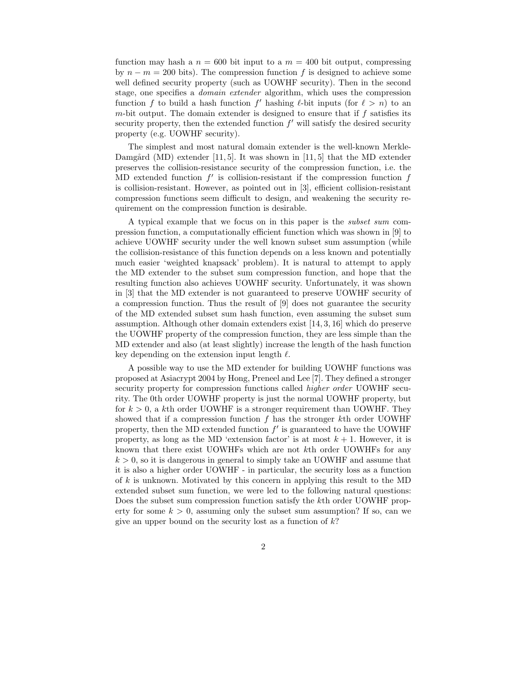function may hash a  $n = 600$  bit input to a  $m = 400$  bit output, compressing by  $n - m = 200$  bits). The compression function f is designed to achieve some well defined security property (such as UOWHF security). Then in the second stage, one specifies a domain extender algorithm, which uses the compression function f to build a hash function f' hashing  $\ell$ -bit inputs (for  $\ell > n$ ) to an m-bit output. The domain extender is designed to ensure that if  $f$  satisfies its security property, then the extended function  $f'$  will satisfy the desired security property (e.g. UOWHF security).

The simplest and most natural domain extender is the well-known Merkle-Damgård (MD) extender [11, 5]. It was shown in [11, 5] that the MD extender preserves the collision-resistance security of the compression function, i.e. the MD extended function  $f'$  is collision-resistant if the compression function  $f$ is collision-resistant. However, as pointed out in [3], efficient collision-resistant compression functions seem difficult to design, and weakening the security requirement on the compression function is desirable.

A typical example that we focus on in this paper is the subset sum compression function, a computationally efficient function which was shown in [9] to achieve UOWHF security under the well known subset sum assumption (while the collision-resistance of this function depends on a less known and potentially much easier 'weighted knapsack' problem). It is natural to attempt to apply the MD extender to the subset sum compression function, and hope that the resulting function also achieves UOWHF security. Unfortunately, it was shown in [3] that the MD extender is not guaranteed to preserve UOWHF security of a compression function. Thus the result of [9] does not guarantee the security of the MD extended subset sum hash function, even assuming the subset sum assumption. Although other domain extenders exist [14, 3, 16] which do preserve the UOWHF property of the compression function, they are less simple than the MD extender and also (at least slightly) increase the length of the hash function key depending on the extension input length  $\ell$ .

A possible way to use the MD extender for building UOWHF functions was proposed at Asiacrypt 2004 by Hong, Preneel and Lee [7]. They defined a stronger security property for compression functions called higher order UOWHF security. The 0th order UOWHF property is just the normal UOWHF property, but for  $k > 0$ , a kth order UOWHF is a stronger requirement than UOWHF. They showed that if a compression function  $f$  has the stronger  $k$ th order UOWHF property, then the MD extended function  $f'$  is guaranteed to have the UOWHF property, as long as the MD 'extension factor' is at most  $k + 1$ . However, it is known that there exist UOWHFs which are not kth order UOWHFs for any  $k > 0$ , so it is dangerous in general to simply take an UOWHF and assume that it is also a higher order UOWHF - in particular, the security loss as a function of k is unknown. Motivated by this concern in applying this result to the MD extended subset sum function, we were led to the following natural questions: Does the subset sum compression function satisfy the kth order UOWHF property for some  $k > 0$ , assuming only the subset sum assumption? If so, can we give an upper bound on the security lost as a function of  $k$ ?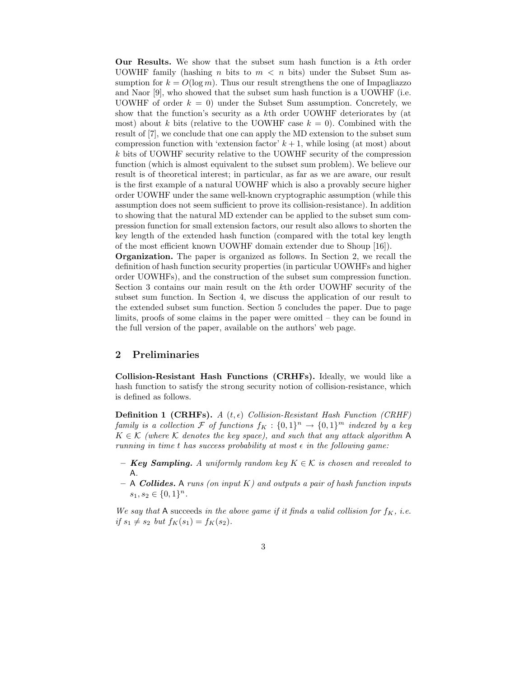Our Results. We show that the subset sum hash function is a kth order UOWHF family (hashing n bits to  $m < n$  bits) under the Subset Sum assumption for  $k = O(\log m)$ . Thus our result strengthens the one of Impagliazzo and Naor [9], who showed that the subset sum hash function is a UOWHF (i.e. UOWHF of order  $k = 0$ ) under the Subset Sum assumption. Concretely, we show that the function's security as a kth order UOWHF deteriorates by (at most) about k bits (relative to the UOWHF case  $k = 0$ ). Combined with the result of [7], we conclude that one can apply the MD extension to the subset sum compression function with 'extension factor'  $k+1$ , while losing (at most) about k bits of UOWHF security relative to the UOWHF security of the compression function (which is almost equivalent to the subset sum problem). We believe our result is of theoretical interest; in particular, as far as we are aware, our result is the first example of a natural UOWHF which is also a provably secure higher order UOWHF under the same well-known cryptographic assumption (while this assumption does not seem sufficient to prove its collision-resistance). In addition to showing that the natural MD extender can be applied to the subset sum compression function for small extension factors, our result also allows to shorten the key length of the extended hash function (compared with the total key length of the most efficient known UOWHF domain extender due to Shoup [16]).

Organization. The paper is organized as follows. In Section 2, we recall the definition of hash function security properties (in particular UOWHFs and higher order UOWHFs), and the construction of the subset sum compression function. Section 3 contains our main result on the kth order UOWHF security of the subset sum function. In Section 4, we discuss the application of our result to the extended subset sum function. Section 5 concludes the paper. Due to page limits, proofs of some claims in the paper were omitted – they can be found in the full version of the paper, available on the authors' web page.

## 2 Preliminaries

Collision-Resistant Hash Functions (CRHFs). Ideally, we would like a hash function to satisfy the strong security notion of collision-resistance, which is defined as follows.

**Definition 1 (CRHFs).** A  $(t, \epsilon)$  Collision-Resistant Hash Function (CRHF) family is a collection F of functions  $f_K: \{0,1\}^n \rightarrow \{0,1\}^m$  indexed by a key  $K \in \mathcal{K}$  (where  $\mathcal K$  denotes the key space), and such that any attack algorithm A running in time t has success probability at most  $\epsilon$  in the following game:

- **Key Sampling.** A uniformly random key  $K \in \mathcal{K}$  is chosen and revealed to A.
- $-$  A Collides. A runs (on input K) and outputs a pair of hash function inputs  $s_1, s_2 \in \{0,1\}^n$ .

We say that A succeeds in the above game if it finds a valid collision for  $f_K$ , i.e. if  $s_1 \neq s_2$  but  $f_K(s_1) = f_K(s_2)$ .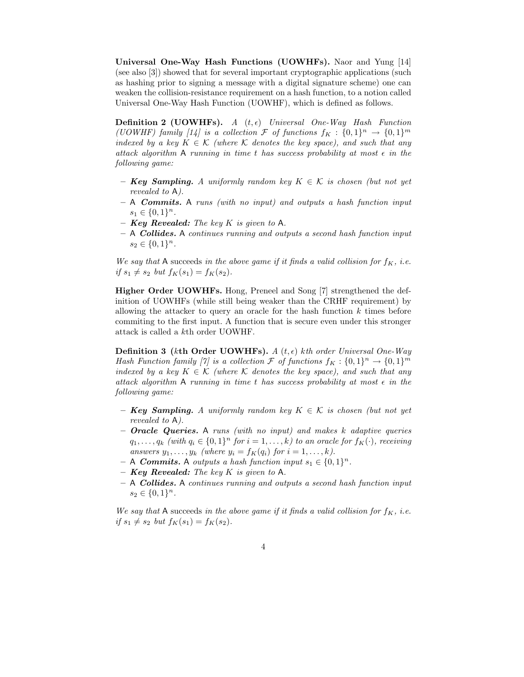Universal One-Way Hash Functions (UOWHFs). Naor and Yung [14] (see also [3]) showed that for several important cryptographic applications (such as hashing prior to signing a message with a digital signature scheme) one can weaken the collision-resistance requirement on a hash function, to a notion called Universal One-Way Hash Function (UOWHF), which is defined as follows.

**Definition 2 (UOWHFs).** A  $(t, \epsilon)$  Universal One-Way Hash Function (UOWHF) family [14] is a collection  $\mathcal F$  of functions  $f_K: \{0,1\}^n \to \{0,1\}^m$ indexed by a key  $K \in \mathcal{K}$  (where K denotes the key space), and such that any attack algorithm A running in time t has success probability at most  $\epsilon$  in the following game:

- **Key Sampling.** A uniformly random key  $K \in \mathcal{K}$  is chosen (but not yet revealed to A).
- $-$  A Commits. A runs (with no input) and outputs a hash function input  $s_1 \in \{0,1\}^n$ .
- $-$  Key Revealed: The key K is given to A.
- A Collides. A continues running and outputs a second hash function input  $s_2 \in \{0,1\}^n$ .

We say that A succeeds in the above game if it finds a valid collision for  $f_K$ , i.e. if  $s_1 \neq s_2$  but  $f_K(s_1) = f_K(s_2)$ .

Higher Order UOWHFs. Hong, Preneel and Song [7] strengthened the definition of UOWHFs (while still being weaker than the CRHF requirement) by allowing the attacker to query an oracle for the hash function  $k$  times before commiting to the first input. A function that is secure even under this stronger attack is called a kth order UOWHF.

**Definition 3 (kth Order UOWHFs).** A (t,  $\epsilon$ ) kth order Universal One-Way Hash Function family [7] is a collection  $\mathcal F$  of functions  $f_K: \{0,1\}^n \to \{0,1\}^m$ indexed by a key  $K \in \mathcal{K}$  (where K denotes the key space), and such that any attack algorithm A running in time t has success probability at most  $\epsilon$  in the following game:

- $-$  Key Sampling. A uniformly random key  $K \in \mathcal{K}$  is chosen (but not yet revealed to A).
- $-$  **Oracle Queries.** A runs (with no input) and makes k adaptive queries  $q_1, \ldots, q_k$  (with  $q_i \in \{0,1\}^n$  for  $i = 1, \ldots, k$ ) to an oracle for  $f_K(\cdot)$ , receiving answers  $y_1, \ldots, y_k$  (where  $y_i = f_K(q_i)$  for  $i = 1, \ldots, k$ ).
- $A$  Commits. A outputs a hash function input  $s_1 \in \{0,1\}^n$ .
- **Key Revealed:** The key K is given to A.
- $-$  A Collides. A continues running and outputs a second hash function input  $s_2 \in \{0,1\}^n$ .

We say that A succeeds in the above game if it finds a valid collision for  $f_K$ , i.e. if  $s_1 \neq s_2$  but  $f_K(s_1) = f_K(s_2)$ .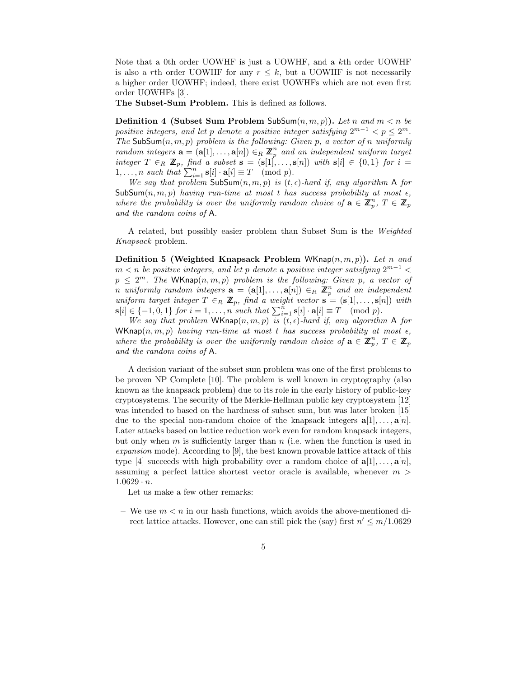Note that a 0th order UOWHF is just a UOWHF, and a kth order UOWHF is also a rth order UOWHF for any  $r \leq k$ , but a UOWHF is not necessarily a higher order UOWHF; indeed, there exist UOWHFs which are not even first order UOWHFs [3].

The Subset-Sum Problem. This is defined as follows.

**Definition 4 (Subset Sum Problem SubSum** $(n, m, p)$ ). Let n and  $m < n$  be positive integers, and let p denote a positive integer satisfying  $2^{m-1} < p \leq 2^m$ . The SubSum $(n, m, p)$  problem is the following: Given p, a vector of n uniformly random integers  $\mathbf{a} = (\mathbf{a}[1], \ldots, \mathbf{a}[n]) \in_R \mathbb{Z}_p^n$  and an independent uniform target integer  $T \in_R \mathbb{Z}_p$ , find a subset  $s = (s[1], \ldots, s[n])$  with  $s[i] \in \{0,1\}$  for  $i =$ 1, ..., *n* such that  $\sum_{i=1}^{n} s[i] \cdot a[i] \equiv T \pmod{p}$ .

We say that problem  $\mathsf{SubSum}(n, m, p)$  is  $(t, \epsilon)$ -hard if, any algorithm A for SubSum $(n, m, p)$  having run-time at most t has success probability at most  $\epsilon$ , where the probability is over the uniformly random choice of  $\mathbf{a} \in \mathbb{Z}_p^n$ ,  $T \in \mathbb{Z}_p$ and the random coins of A.

A related, but possibly easier problem than Subset Sum is the Weighted Knapsack problem.

Definition 5 (Weighted Knapsack Problem WKnap $(n, m, p)$ ). Let n and  $m < n$  be positive integers, and let p denote a positive integer satisfying  $2^{m-1} <$  $p \leq 2^m$ . The WKnap $(n, m, p)$  problem is the following: Given p, a vector of n uniformly random integers  $\mathbf{a} = (\mathbf{a}[1], \ldots, \mathbf{a}[n]) \in_R \mathbb{Z}_p^n$  and an independent uniform target integer  $T \in_R \mathbb{Z}_p$ , find a weight vector  $\mathbf{s} = (\mathbf{s}[1], \ldots, \mathbf{s}[n])$  with  $\mathbf{s}[i] \in \{-1, 0, 1\}$  for  $i = 1, \ldots, n$  such that  $\sum_{i=1}^{n} \mathbf{s}[i] \cdot \mathbf{a}[i] \equiv T \pmod{p}$ .

We say that problem WKnap $(n, m, p)$  is  $(t, \epsilon)$ -hard if, any algorithm A for WKnap $(n, m, p)$  having run-time at most t has success probability at most  $\epsilon$ , where the probability is over the uniformly random choice of  $\mathbf{a} \in \mathbb{Z}_p^n$ ,  $T \in \mathbb{Z}_p$ and the random coins of A.

A decision variant of the subset sum problem was one of the first problems to be proven NP Complete [10]. The problem is well known in cryptography (also known as the knapsack problem) due to its role in the early history of public-key cryptosystems. The security of the Merkle-Hellman public key cryptosystem [12] was intended to based on the hardness of subset sum, but was later broken [15] due to the special non-random choice of the knapsack integers  $a[1], \ldots, a[n]$ . Later attacks based on lattice reduction work even for random knapsack integers, but only when  $m$  is sufficiently larger than  $n$  (i.e. when the function is used in expansion mode). According to [9], the best known provable lattice attack of this type [4] succeeds with high probability over a random choice of  $a[1], \ldots, a[n]$ , assuming a perfect lattice shortest vector oracle is available, whenever  $m >$  $1.0629 \cdot n$ .

Let us make a few other remarks:

– We use  $m < n$  in our hash functions, which avoids the above-mentioned direct lattice attacks. However, one can still pick the (say) first  $n' \leq m/1.0629$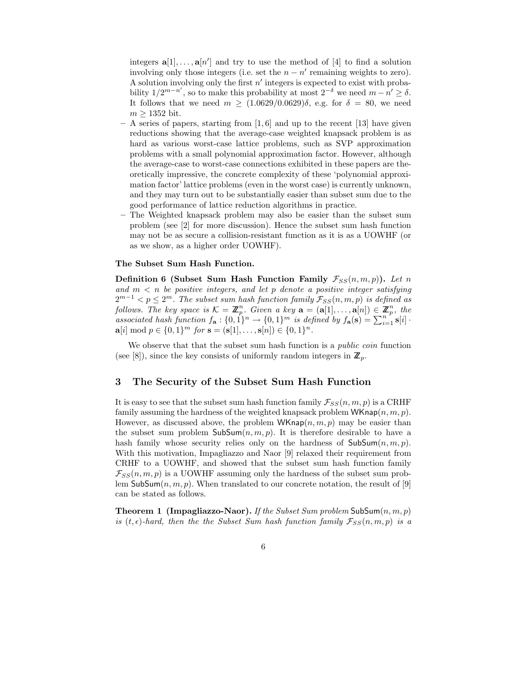integers  $\mathbf{a}[1], \ldots, \mathbf{a}[n']$  and try to use the method of [4] to find a solution involving only those integers (i.e. set the  $n - n'$  remaining weights to zero). A solution involving only the first  $n'$  integers is expected to exist with probability  $1/2^{m-n'}$ , so to make this probability at most  $2^{-\delta}$  we need  $m - n' \ge \delta$ . It follows that we need  $m \ge (1.0629/0.0629)\delta$ , e.g. for  $\delta = 80$ , we need  $m \geq 1352$  bit.

- $-$  A series of papers, starting from [1, 6] and up to the recent [13] have given reductions showing that the average-case weighted knapsack problem is as hard as various worst-case lattice problems, such as SVP approximation problems with a small polynomial approximation factor. However, although the average-case to worst-case connections exhibited in these papers are theoretically impressive, the concrete complexity of these 'polynomial approximation factor' lattice problems (even in the worst case) is currently unknown, and they may turn out to be substantially easier than subset sum due to the good performance of lattice reduction algorithms in practice.
- The Weighted knapsack problem may also be easier than the subset sum problem (see [2] for more discussion). Hence the subset sum hash function may not be as secure a collision-resistant function as it is as a UOWHF (or as we show, as a higher order UOWHF).

### The Subset Sum Hash Function.

Definition 6 (Subset Sum Hash Function Family  $\mathcal{F}_{SS}(n,m,p)$ ). Let n and  $m < n$  be positive integers, and let p denote a positive integer satisfying  $2^{m-1} < p \leq 2^m$ . The subset sum hash function family  $\mathcal{F}_{SS}(n,m,p)$  is defined as follows. The key space is  $\mathcal{K} = \mathbb{Z}_p^n$ . Given a key  $\mathbf{a} = (\mathbf{a}[1], \ldots, \mathbf{a}[n]) \in \mathbb{Z}_p^n$ , the associated hash function  $f_{\mathbf{a}}: \{0,1\}^n \to \{0,1\}^m$  is defined by  $f_{\mathbf{a}}(\mathbf{s}) = \sum_{i=1}^{n} \mathbf{s}[i]$ .  $a[i] \bmod p \in \{0,1\}^m$  for  $s = (s[1], \ldots, s[n]) \in \{0,1\}^n$ .

We observe that that the subset sum hash function is a *public coin* function (see [8]), since the key consists of uniformly random integers in  $\mathbb{Z}_p$ .

### 3 The Security of the Subset Sum Hash Function

It is easy to see that the subset sum hash function family  $\mathcal{F}_{SS}(n, m, p)$  is a CRHF family assuming the hardness of the weighted knapsack problem  $\mathsf{WKnap}(n, m, p)$ . However, as discussed above, the problem  $\mathsf{WKmap}(n, m, p)$  may be easier than the subset sum problem  $\textsf{SubSum}(n, m, p)$ . It is therefore desirable to have a hash family whose security relies only on the hardness of  $\mathsf{SubSum}(n, m, p)$ . With this motivation, Impagliazzo and Naor [9] relaxed their requirement from CRHF to a UOWHF, and showed that the subset sum hash function family  $\mathcal{F}_{SS}(n,m,p)$  is a UOWHF assuming only the hardness of the subset sum problem SubSum $(n, m, p)$ . When translated to our concrete notation, the result of [9] can be stated as follows.

**Theorem 1 (Impagliazzo-Naor).** If the Subset Sum problem  $\mathsf{SubSum}(n, m, p)$ is  $(t, \epsilon)$ -hard, then the the Subset Sum hash function family  $\mathcal{F}_{SS}(n, m, p)$  is a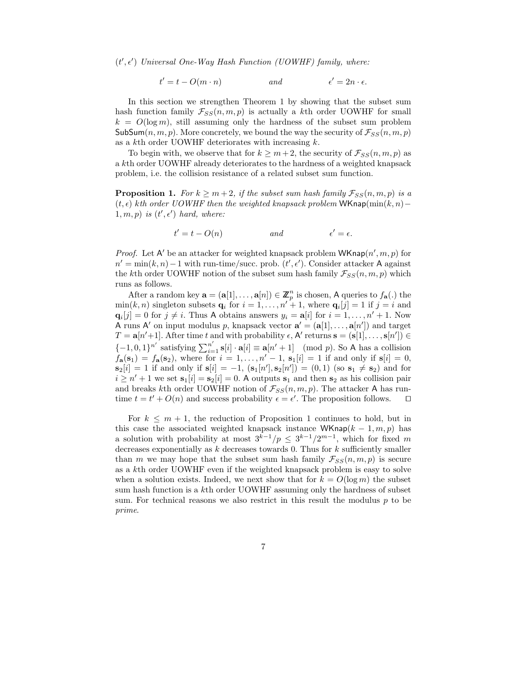$(t', \epsilon')$  Universal One-Way Hash Function (UOWHF) family, where:

$$
t' = t - O(m \cdot n) \qquad \text{and} \qquad \epsilon' = 2n \cdot \epsilon.
$$

In this section we strengthen Theorem 1 by showing that the subset sum hash function family  $\mathcal{F}_{SS}(n, m, p)$  is actually a kth order UOWHF for small  $k = O(\log m)$ , still assuming only the hardness of the subset sum problem SubSum $(n, m, p)$ . More concretely, we bound the way the security of  $\mathcal{F}_{SS}(n, m, p)$ as a  $k$ <sup>th</sup> order UOWHF deteriorates with increasing  $k$ .

To begin with, we observe that for  $k \geq m+2$ , the security of  $\mathcal{F}_{SS}(n,m,p)$  as a kth order UOWHF already deteriorates to the hardness of a weighted knapsack problem, i.e. the collision resistance of a related subset sum function.

**Proposition 1.** For  $k \geq m+2$ , if the subset sum hash family  $\mathcal{F}_{SS}(n,m,p)$  is a  $(t, \epsilon)$  kth order UOWHF then the weighted knapsack problem WKnap(min(k, n) –  $1, m, p)$  is  $(t', \epsilon')$  hard, where:

$$
t' = t - O(n) \qquad \qquad and \qquad \qquad \epsilon' = \epsilon.
$$

*Proof.* Let A' be an attacker for weighted knapsack problem  $\mathsf{WKmap}(n', m, p)$  for  $n' = \min(k, n) - 1$  with run-time/succ. prob.  $(t', \epsilon')$ . Consider attacker A against the kth order UOWHF notion of the subset sum hash family  $\mathcal{F}_{SS}(n, m, p)$  which runs as follows.

After a random key  $\mathbf{a} = (\mathbf{a}[1], \dots, \mathbf{a}[n]) \in \mathbb{Z}_p^n$  is chosen, A queries to  $f_{\mathbf{a}}(.)$  the  $\min(k, n)$  singleton subsets  $\mathbf{q}_i$  for  $i = 1, \ldots, n' + 1$ , where  $\mathbf{q}_i[j] = 1$  if  $j = i$  and  $\mathbf{q}_i[j] = 0$  for  $j \neq i$ . Thus A obtains answers  $y_i = \mathbf{a}[i]$  for  $i = 1, \ldots, n' + 1$ . Now A runs A' on input modulus p, knapsack vector  $\mathbf{a}' = (\mathbf{a}[1], \dots, \mathbf{a}[n'])$  and target  $T = \mathbf{a}[n'+1]$ . After time t and with probability  $\epsilon$ , A' returns  $\mathbf{s} = (\mathbf{s}[1], \ldots, \mathbf{s}[n']) \in$  $\{-1,0,1\}^{n'}$  satisfying  $\sum_{i=1}^{n'} s[i] \cdot a[i] \equiv a[n'+1] \pmod{p}$ . So A has a collision  $f_{\mathbf{a}}(\mathbf{s}_1) = f_{\mathbf{a}}(\mathbf{s}_2)$ , where for  $i = 1, \ldots, n' - 1$ ,  $\mathbf{s}_1[i] = 1$  if and only if  $\mathbf{s}[i] = 0$ ,  $\mathbf{s}_2[i] = 1$  if and only if  $\mathbf{s}[i] = -1$ ,  $(\mathbf{s}_1[n'], \mathbf{s}_2[n']) = (0, 1)$  (so  $\mathbf{s}_1 \neq \mathbf{s}_2$ ) and for  $i \geq n' + 1$  we set  $s_1[i] = s_2[i] = 0$ . A outputs  $s_1$  and then  $s_2$  as his collision pair and breaks kth order UOWHF notion of  $\mathcal{F}_{SS}(n, m, p)$ . The attacker A has runtime  $t = t' + O(n)$  and success probability  $\epsilon = \epsilon'$ . The proposition follows. time  $t = t' + O(n)$  and success probability  $\epsilon = \epsilon'$ . The proposition follows.  $\Box$ 

For  $k \leq m+1$ , the reduction of Proposition 1 continues to hold, but in this case the associated weighted knapsack instance WKnap( $k - 1, m, p$ ) has a solution with probability at most  $3^{k-1}/p \leq 3^{k-1}/2^{m-1}$ , which for fixed m decreases exponentially as  $k$  decreases towards 0. Thus for  $k$  sufficiently smaller than m we may hope that the subset sum hash family  $\mathcal{F}_{SS}(n, m, p)$  is secure as a kth order UOWHF even if the weighted knapsack problem is easy to solve when a solution exists. Indeed, we next show that for  $k = O(\log m)$  the subset sum hash function is a kth order UOWHF assuming only the hardness of subset sum. For technical reasons we also restrict in this result the modulus  $p$  to be prime.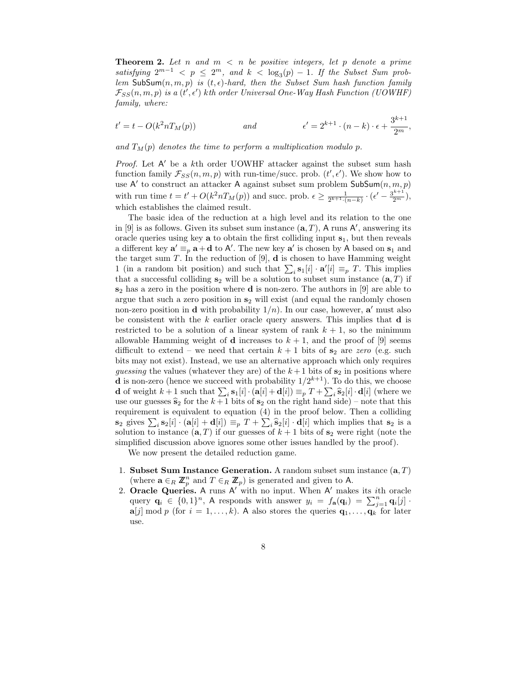**Theorem 2.** Let n and  $m < n$  be positive integers, let p denote a prime satisfying  $2^{m-1} < p \leq 2^m$ , and  $k < \log_3(p) - 1$ . If the Subset Sum problem SubSum $(n, m, p)$  is  $(t, \epsilon)$ -hard, then the Subset Sum hash function family  $\mathcal{F}_{SS}(n,m,p)$  is a  $(t',\epsilon')$  kth order Universal One-Way Hash Function (UOWHF) family, where:

$$
t' = t - O(k^2 n T_M(p)) \qquad \text{and} \qquad \epsilon' = 2^{k+1} \cdot (n-k) \cdot \epsilon + \frac{3^{k+1}}{2^m},
$$

and  $T_M(p)$  denotes the time to perform a multiplication modulo p.

*Proof.* Let  $A'$  be a kth order UOWHF attacker against the subset sum hash function family  $\mathcal{F}_{SS}(n,m,p)$  with run-time/succ. prob.  $(t', \epsilon')$ . We show how to use A' to construct an attacker A against subset sum problem  $\mathsf{SubSum}(n, m, p)$ with run time  $t = t' + O(k^2 n T_M(p))$  and succ. prob.  $\epsilon \geq \frac{1}{2^{k+1} \cdot (n-k)} \cdot (\epsilon' - \frac{3^{k+1}}{2^m}),$ which establishes the claimed result.

The basic idea of the reduction at a high level and its relation to the one in [9] is as follows. Given its subset sum instance  $(a, T)$ , A runs A', answering its oracle queries using key  $a$  to obtain the first colliding input  $s_1$ , but then reveals a different key  $\mathbf{a}' \equiv_p \mathbf{a} + \mathbf{d}$  to A'. The new key  $\mathbf{a}'$  is chosen by A based on  $\mathbf{s}_1$  and the target sum T. In the reduction of  $[9]$ , **d** is chosen to have Hamming weight 1 (in a random bit position) and such that  $\sum_i \mathbf{s}_1[i] \cdot \mathbf{a}'[i] \equiv_p T$ . This implies that a successful colliding  $s_2$  will be a solution to subset sum instance  $(a, T)$  if  $s_2$  has a zero in the position where **d** is non-zero. The authors in [9] are able to argue that such a zero position in  $s_2$  will exist (and equal the randomly chosen non-zero position in **d** with probability  $1/n$ ). In our case, however, **a'** must also be consistent with the  $k$  earlier oracle query answers. This implies that **d** is restricted to be a solution of a linear system of rank  $k + 1$ , so the minimum allowable Hamming weight of **d** increases to  $k + 1$ , and the proof of [9] seems difficult to extend – we need that certain  $k + 1$  bits of  $s_2$  are zero (e.g. such bits may not exist). Instead, we use an alternative approach which only requires guessing the values (whatever they are) of the  $k+1$  bits of  $s_2$  in positions where **d** is non-zero (hence we succeed with probability  $1/2^{k+1}$ ). To do this, we choose **d** of weight  $k + 1$  such that  $\sum_i \mathbf{s}_1[i] \cdot (\mathbf{a}[i] + \mathbf{d}[i]) \equiv_p T + \sum_i \hat{\mathbf{s}}_2[i] \cdot \mathbf{d}[i]$  (where we use our guesses  $\hat{s}_2$  for the  $k+1$  bits of  $s_2$  on the right hand side) – note that this requirement is equivalent to equation (4) in the proof below. Then a colliding  $\mathbf{s}_2$  gives  $\sum_i \mathbf{s}_2[i] \cdot (\mathbf{a}[i] + \mathbf{d}[i]) \equiv_p T + \sum_i \hat{\mathbf{s}}_2[i] \cdot \mathbf{d}[i]$  which implies that  $\mathbf{s}_2$  is a solution to instance  $(\mathbf{a}, T)$  if our guesses of  $k + 1$  bits of  $\mathbf{s}_2$  were right (note the simplified discussion above ignores some other issues handled by the proof).

We now present the detailed reduction game.

- 1. Subset Sum Instance Generation. A random subset sum instance  $(a, T)$ (where  $\mathbf{a} \in_R \mathbb{Z}_p^n$  and  $T \in_R \mathbb{Z}_p$ ) is generated and given to A.
- 2. Oracle Queries. A runs  $A'$  with no input. When  $A'$  makes its *i*th oracle query  $\mathbf{q}_i \in \{0,1\}^n$ , A responds with answer  $y_i = f_{\mathbf{a}}(\mathbf{q}_i) = \sum_{j=1}^n \mathbf{q}_i[j]$ .  $\mathbf{a}[j] \bmod p$  (for  $i = 1, \ldots, k$ ). A also stores the queries  $\mathbf{q}_1, \ldots, \mathbf{q}_k$  for later use.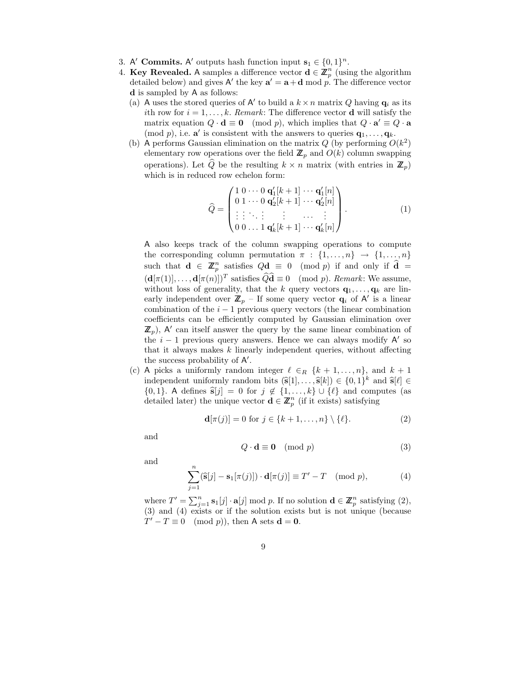- 3. A' Commits. A' outputs hash function input  $s_1 \in \{0,1\}^n$ .
- 4. Key Revealed. A samples a difference vector  $\mathbf{d} \in \mathbb{Z}_p^n$  (using the algorithm detailed below) and gives A' the key  $a' = a + d \mod p$ . The difference vector d is sampled by A as follows:
	- (a) A uses the stored queries of A' to build a  $k \times n$  matrix Q having  $q_i$  as its ith row for  $i = 1, \ldots, k$ . Remark: The difference vector **d** will satisfy the matrix equation  $Q \cdot \mathbf{d} \equiv \mathbf{0} \pmod{p}$ , which implies that  $Q \cdot \mathbf{a}' \equiv Q \cdot \mathbf{a}$ (mod p), i.e.  $\mathbf{a}'$  is consistent with the answers to queries  $\mathbf{q}_1, \ldots, \mathbf{q}_k$ .
	- (b) A performs Gaussian elimination on the matrix  $Q$  (by performing  $O(k^2)$ ) elementary row operations over the field  $\mathbb{Z}_p$  and  $O(k)$  column swapping operations). Let  $\hat{Q}$  be the resulting  $k \times n$  matrix (with entries in  $\mathbb{Z}_p$ ) which is in reduced row echelon form:

$$
\widehat{Q} = \begin{pmatrix}\n1 & 0 & \cdots & 0 & \mathbf{q}'_1[k+1] & \cdots & \mathbf{q}'_1[n] \\
0 & 1 & \cdots & 0 & \mathbf{q}'_2[k+1] & \cdots & \mathbf{q}'_2[n] \\
\vdots & \vdots & \ddots & \vdots & \ddots & \vdots \\
0 & 0 & \cdots & 1 & \mathbf{q}'_k[k+1] & \cdots & \mathbf{q}'_k[n]\n\end{pmatrix} . \tag{1}
$$

A also keeps track of the column swapping operations to compute the corresponding column permutation  $\pi : \{1, \ldots, n\} \rightarrow \{1, \ldots, n\}$ such that  $\mathbf{d} \in \mathbb{Z}_p^n$  satisfies  $Q\mathbf{d} \equiv 0 \pmod{p}$  if and only if  $\widehat{\mathbf{d}} =$  $(\mathbf{d}[\pi(1)], \ldots, \mathbf{d}[\pi(n)])^T$  satisfies  $\widehat{Q}\widehat{\mathbf{d}} \equiv 0 \pmod{p}$ . Remark: We assume, without loss of generality, that the k query vectors  $\mathbf{q}_1, \ldots, \mathbf{q}_k$  are linearly independent over  $\mathbb{Z}_p$  – If some query vector  $\mathbf{q}_i$  of A' is a linear combination of the  $i - 1$  previous query vectors (the linear combination coefficients can be efficiently computed by Gaussian elimination over  $\mathbb{Z}_p$ , A' can itself answer the query by the same linear combination of the  $i - 1$  previous query answers. Hence we can always modify A' so that it always makes  $k$  linearly independent queries, without affecting the success probability of  $A'$ .

(c) A picks a uniformly random integer  $\ell \in_R \{k+1,\ldots,n\}$ , and  $k+1$ independent uniformly random bits  $(\hat{\mathbf{s}}[1], \ldots, \hat{\mathbf{s}}[k]) \in \{0,1\}^k$  and  $\hat{\mathbf{s}}[\ell] \in$  ${0, 1}.$  A defines  $\hat{\mathbf{s}}[j] = 0$  for  $j \notin \{1, ..., k\} \cup \{\ell\}$  and computes (as detailed later) the unique vector  $\mathbf{d} \in \mathbb{Z}_p^n$  (if it exists) satisfying

$$
\mathbf{d}[\pi(j)] = 0 \text{ for } j \in \{k+1,\ldots,n\} \setminus \{\ell\}. \tag{2}
$$

and

$$
Q \cdot \mathbf{d} \equiv \mathbf{0} \pmod{p} \tag{3}
$$

and

$$
\sum_{j=1}^{n} (\widehat{\mathbf{s}}[j] - \mathbf{s}_1[\pi(j)]) \cdot \mathbf{d}[\pi(j)] \equiv T' - T \pmod{p},\tag{4}
$$

where  $T' = \sum_{j=1}^{n} \mathbf{s}_1[j] \cdot \mathbf{a}[j] \mod p$ . If no solution  $\mathbf{d} \in \mathbb{Z}_p^n$  satisfying (2), (3) and (4) exists or if the solution exists but is not unique (because  $T' - T \equiv 0 \pmod{p}$ , then A sets  $\mathbf{d} = \mathbf{0}$ .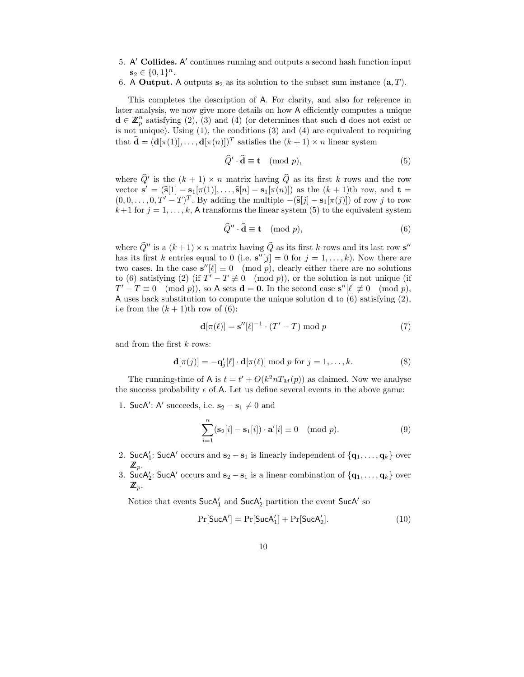- 5. A' Collides. A' continues running and outputs a second hash function input  $s_2 \in \{0,1\}^n$ .
- 6. A Output. A outputs  $s_2$  as its solution to the subset sum instance  $(a, T)$ .

This completes the description of A. For clarity, and also for reference in later analysis, we now give more details on how A efficiently computes a unique  $\mathbf{d} \in \mathbb{Z}_p^n$  satisfying (2), (3) and (4) (or determines that such **d** does not exist or is not unique). Using (1), the conditions (3) and (4) are equivalent to requiring that  $\hat{\mathbf{d}} = (\mathbf{d}[\pi(1)], \ldots, \mathbf{d}[\pi(n)])^T$  satisfies the  $(k+1) \times n$  linear system

$$
\widehat{Q}' \cdot \widehat{\mathbf{d}} \equiv \mathbf{t} \pmod{p},\tag{5}
$$

where  $\hat{Q}'$  is the  $(k + 1) \times n$  matrix having  $\hat{Q}$  as its first k rows and the row vector  $\mathbf{s}' = (\mathbf{\hat{s}}[1] - \mathbf{s}_1[\pi(1)], \dots, \mathbf{\hat{s}}[n] - \mathbf{s}_1[\pi(n)])$  as the  $(k+1)$ th row, and  $\mathbf{t} =$  $(0, 0, \ldots, 0, T' - T)^T$ . By adding the multiple  $-(\hat{s}[j] - s_1[\pi(j)])$  of row j to row  $k+1$  for  $j = 1, \ldots, k$ , A transforms the linear system (5) to the equivalent system

$$
\widehat{Q}^{\prime\prime} \cdot \widehat{\mathbf{d}} \equiv \mathbf{t} \pmod{p},\tag{6}
$$

where  $\widehat{Q}''$  is a  $(k + 1) \times n$  matrix having  $\widehat{Q}$  as its first k rows and its last row s'' has its first k entries equal to 0 (i.e.  $s''[j] = 0$  for  $j = 1, ..., k$ ). Now there are two cases. In the case  $s''[\ell] \equiv 0 \pmod{p}$ , clearly either there are no solutions to (6) satisfying (2) (if  $T' - T \not\equiv 0 \pmod{p}$ ), or the solution is not unique (if  $T' - T \equiv 0 \pmod{p}$ , so A sets  $\mathbf{d} = \mathbf{0}$ . In the second case  $\mathbf{s}''[\ell] \not\equiv 0 \pmod{p}$ , A uses back substitution to compute the unique solution  $\bf{d}$  to (6) satisfying (2), i.e from the  $(k+1)$ th row of (6):

$$
\mathbf{d}[\pi(\ell)] = \mathbf{s}''[\ell]^{-1} \cdot (T' - T) \bmod p \tag{7}
$$

and from the first k rows:

$$
\mathbf{d}[\pi(j)] = -\mathbf{q}'_j[\ell] \cdot \mathbf{d}[\pi(\ell)] \bmod p \text{ for } j = 1, \dots, k. \tag{8}
$$

The running-time of A is  $t = t' + O(k^2 n T_M(p))$  as claimed. Now we analyse the success probability  $\epsilon$  of A. Let us define several events in the above game:

1. SucA': A' succeeds, i.e.  $\mathbf{s}_2 - \mathbf{s}_1 \neq 0$  and

$$
\sum_{i=1}^{n} (\mathbf{s}_2[i] - \mathbf{s}_1[i]) \cdot \mathbf{a}'[i] \equiv 0 \pmod{p}.
$$
 (9)

- 2. SucA': SucA' occurs and  $s_2 s_1$  is linearly independent of  $\{q_1, \ldots, q_k\}$  over  $\mathbb{Z}_p$  .
- 3. SucA': SucA' occurs and  $s_2 s_1$  is a linear combination of  $\{q_1, \ldots, q_k\}$  over  $\mathbb{Z}_p$ .

Notice that events  $\mathsf{SucA}'_1$  and  $\mathsf{SucA}'_2$  partition the event  $\mathsf{SucA}'$  so

$$
Pr[SucA'] = Pr[SucA'_1] + Pr[SucA'_2].
$$
\n(10)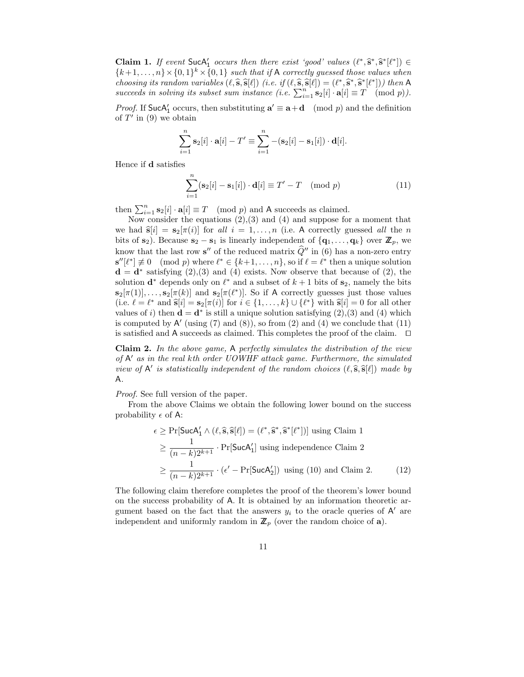**Claim 1.** If event  $\text{SucA}'_1$  occurs then there exist 'good' values  $(\ell^*, \hat{s}^*, \hat{s}^* [\ell^*]) \in$  ${k+1, ..., n} \times {0,1}^k \times {0,1}$  such that if A correctly guessed those values when choosing its random variables  $(\ell, \hat{s}, \hat{s}[\ell])$  (i.e. if  $(\ell, \hat{s}, \hat{s}[\ell]) = (\ell^*, \hat{s}^*, \hat{s}^*[\ell^*]))$  then A succeeds in solving its subset sum instance (i.e.  $\sum_{i=1}^{n} \mathbf{s}_2[i] \cdot \mathbf{a}[i] \equiv T \pmod{p}$ ).

*Proof.* If SucA<sub>1</sub> occurs, then substituting  $\mathbf{a}' \equiv \mathbf{a} + \mathbf{d} \pmod{p}$  and the definition of  $T'$  in (9) we obtain

$$
\sum_{i=1}^n \mathbf{s}_2[i] \cdot \mathbf{a}[i] - T' \equiv \sum_{i=1}^n -(\mathbf{s}_2[i] - \mathbf{s}_1[i]) \cdot \mathbf{d}[i].
$$

Hence if d satisfies

$$
\sum_{i=1}^{n} (\mathbf{s}_2[i] - \mathbf{s}_1[i]) \cdot \mathbf{d}[i] \equiv T' - T \pmod{p}
$$
 (11)

then  $\sum_{i=1}^{n} s_2[i] \cdot a[i] \equiv T \pmod{p}$  and A succeeds as claimed.

Now consider the equations  $(2),(3)$  and  $(4)$  and suppose for a moment that we had  $\hat{\mathbf{s}}[i] = \mathbf{s}_2[\pi(i)]$  for all  $i = 1, \ldots, n$  (i.e. A correctly guessed all the n bits of  $s_2$ ). Because  $s_2 - s_1$  is linearly independent of  $\{q_1, \ldots, q_k\}$  over  $\mathbb{Z}_p$ , we know that the last row  $s''$  of the reduced matrix  $\hat{Q}''$  in (6) has a non-zero entry  $\mathbf{s}''[\ell^*] \not\equiv 0 \pmod{p}$  where  $\ell^* \in \{k+1,\ldots,n\}$ , so if  $\ell = \ell^*$  then a unique solution  $\mathbf{d} = \mathbf{d}^*$  satisfying (2), (3) and (4) exists. Now observe that because of (2), the solution  $\mathbf{d}^*$  depends only on  $\ell^*$  and a subset of  $k+1$  bits of  $\mathbf{s}_2$ , namely the bits  $s_2[\pi(1)], \ldots, s_2[\pi(k)]$  and  $s_2[\pi(\ell^*)]$ . So if A correctly guesses just those values (i.e.  $\ell = \ell^*$  and  $\hat{\mathbf{s}}[i] = \mathbf{s}_2[\pi(i)]$  for  $i \in \{1, \ldots, k\} \cup \{\ell^*\}$  with  $\hat{\mathbf{s}}[i] = 0$  for all other values of i) then  $\mathbf{d} = \mathbf{d}^*$  is still a unique solution satisfying (2), (3) and (4) which is computed by  $A'$  (using (7) and (8)), so from (2) and (4) we conclude that (11) is satisfied and A succeeds as claimed. This completes the proof of the claim.  $\Box$ 

Claim 2. In the above game, A perfectly simulates the distribution of the view of  $A'$  as in the real kth order UOWHF attack game. Furthermore, the simulated view of  $A'$  is statistically independent of the random choices  $(\ell, \hat{s}, \hat{s}[\ell])$  made by A.

Proof. See full version of the paper.

From the above Claims we obtain the following lower bound on the success probability  $\epsilon$  of A:

$$
\epsilon \ge \Pr[\text{SucA}'_1 \wedge (\ell, \hat{\mathbf{s}}, \hat{\mathbf{s}}[\ell]) = (\ell^*, \hat{\mathbf{s}}^*, \hat{\mathbf{s}}^*[\ell^*])] \text{ using Claim 1}
$$

$$
\ge \frac{1}{(n-k)2^{k+1}} \cdot \Pr[\text{SucA}'_1] \text{ using independence Claim 2}
$$

$$
\ge \frac{1}{(n-k)2^{k+1}} \cdot (\epsilon' - \Pr[\text{SucA}'_2]) \text{ using (10) and Claim 2.}
$$
(12)

The following claim therefore completes the proof of the theorem's lower bound on the success probability of A. It is obtained by an information theoretic argument based on the fact that the answers  $y_i$  to the oracle queries of A' are independent and uniformly random in  $\mathbb{Z}_p$  (over the random choice of **a**).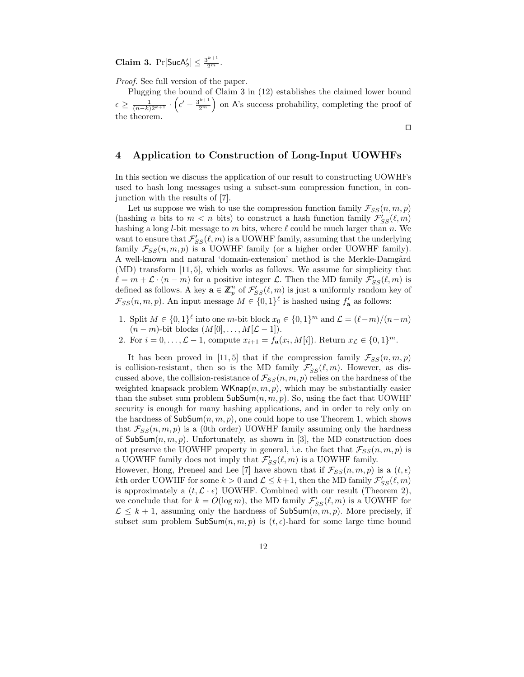**Claim 3.**  $Pr[\text{SucA}'_2] \leq \frac{3^{k+1}}{2^m}$ .

Proof. See full version of the paper.

Plugging the bound of Claim 3 in (12) establishes the claimed lower bound  $\epsilon \geq \frac{1}{(n-k)2^{k+1}}$ .  $\left(\epsilon^{\prime}-\frac{3^{k+1}}{2^{m}}\right.$ ) on A's success probability, completing the proof of the theorem.

 $\Box$ 

# 4 Application to Construction of Long-Input UOWHFs

In this section we discuss the application of our result to constructing UOWHFs used to hash long messages using a subset-sum compression function, in conjunction with the results of [7].

Let us suppose we wish to use the compression function family  $\mathcal{F}_{SS}(n, m, p)$ (hashing *n* bits to  $m < n$  bits) to construct a hash function family  $\mathcal{F}'_{SS}(\ell,m)$ hashing a long *l*-bit message to  $m$  bits, where  $\ell$  could be much larger than  $n$ . We want to ensure that  $\mathcal{F}_{SS}'(\ell,m)$  is a UOWHF family, assuming that the underlying family  $\mathcal{F}_{SS}(n, m, p)$  is a UOWHF family (or a higher order UOWHF family). A well-known and natural 'domain-extension' method is the Merkle-Damgård (MD) transform [11, 5], which works as follows. We assume for simplicity that  $\ell = m + \mathcal{L} \cdot (n - m)$  for a positive integer  $\mathcal{L}$ . Then the MD family  $\mathcal{F}'_{SS}(\ell,m)$  is defined as follows. A key  $\mathbf{a} \in \mathbb{Z}_p^n$  of  $\mathcal{F}_{SS}'(\ell,m)$  is just a uniformly random key of  $\mathcal{F}_{SS}(n,m,p)$ . An input message  $M \in \{0,1\}^{\ell}$  is hashed using  $f'_{\mathbf{a}}$  as follows:

- 1. Split  $M \in \{0,1\}^{\ell}$  into one m-bit block  $x_0 \in \{0,1\}^m$  and  $\mathcal{L} = (\ell-m)/(n-m)$  $(n-m)$ -bit blocks  $(M[0], \ldots, M[\mathcal{L} - 1])$ .
- 2. For  $i = 0, ..., L 1$ , compute  $x_{i+1} = f_{\mathbf{a}}(x_i, M[i])$ . Return  $x_{\mathcal{L}} \in \{0, 1\}^m$ .

It has been proved in [11, 5] that if the compression family  $\mathcal{F}_{SS}(n, m, p)$ is collision-resistant, then so is the MD family  $\mathcal{F}_{SS}'(\ell,m)$ . However, as discussed above, the collision-resistance of  $\mathcal{F}_{SS}(n, m, p)$  relies on the hardness of the weighted knapsack problem WKnap $(n, m, p)$ , which may be substantially easier than the subset sum problem  $\mathsf{SubSum}(n, m, p)$ . So, using the fact that UOWHF security is enough for many hashing applications, and in order to rely only on the hardness of  $\mathsf{SubSum}(n, m, p)$ , one could hope to use Theorem 1, which shows that  $\mathcal{F}_{SS}(n, m, p)$  is a (0th order) UOWHF family assuming only the hardness of SubSum $(n, m, p)$ . Unfortunately, as shown in [3], the MD construction does not preserve the UOWHF property in general, i.e. the fact that  $\mathcal{F}_{SS}(n, m, p)$  is a UOWHF family does not imply that  $\mathcal{F}_{SS}'(\ell,m)$  is a UOWHF family. However, Hong, Preneel and Lee [7] have shown that if  $\mathcal{F}_{SS}(n, m, p)$  is a  $(t, \epsilon)$ kth order UOWHF for some  $k > 0$  and  $\mathcal{L} \leq k+1$ , then the MD family  $\mathcal{F}'_{SS}(\ell,m)$ is approximately a  $(t, \mathcal{L} \cdot \epsilon)$  UOWHF. Combined with our result (Theorem 2),

we conclude that for  $k = O(\log m)$ , the MD family  $\mathcal{F}_{SS}'(\ell,m)$  is a UOWHF for  $\mathcal{L} \leq k+1$ , assuming only the hardness of  $\mathsf{SubSum}(n, m, p)$ . More precisely, if subset sum problem  $\mathsf{SubSum}(n, m, p)$  is  $(t, \epsilon)$ -hard for some large time bound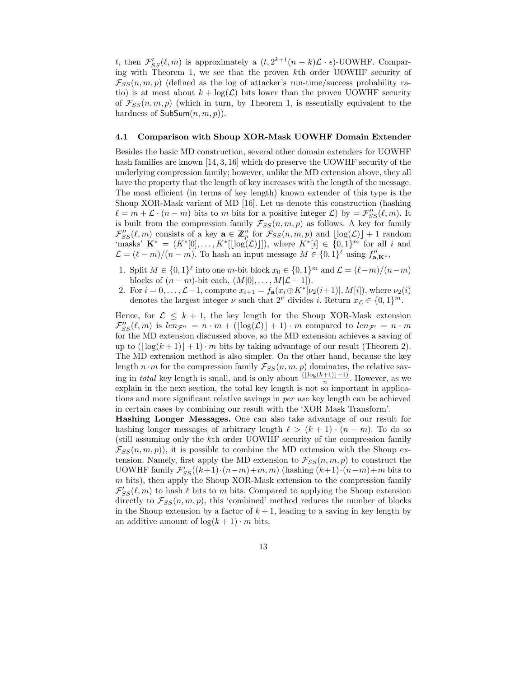t, then  $\mathcal{F}_{SS}'(\ell,m)$  is approximately a  $(t, 2^{k+1}(n-k)\mathcal{L}\cdot\epsilon)$ -UOWHF. Comparing with Theorem 1, we see that the proven kth order UOWHF security of  $\mathcal{F}_{SS}(n, m, p)$  (defined as the log of attacker's run-time/success probability ratio) is at most about  $k + \log(\mathcal{L})$  bits lower than the proven UOWHF security of  $\mathcal{F}_{SS}(n, m, p)$  (which in turn, by Theorem 1, is essentially equivalent to the hardness of  $\mathsf{SubSum}(n, m, p)$ .

### 4.1 Comparison with Shoup XOR-Mask UOWHF Domain Extender

Besides the basic MD construction, several other domain extenders for UOWHF hash families are known [14, 3, 16] which do preserve the UOWHF security of the underlying compression family; however, unlike the MD extension above, they all have the property that the length of key increases with the length of the message. The most efficient (in terms of key length) known extender of this type is the Shoup XOR-Mask variant of MD [16]. Let us denote this construction (hashing  $\ell = m + \mathcal{L} \cdot (n - m)$  bits to m bits for a positive integer  $\mathcal{L}$ ) by  $= \mathcal{F}_{SS}^{\prime\prime}(\ell, m)$ . It is built from the compression family  $\mathcal{F}_{SS}(n, m, p)$  as follows. A key for family  $\mathcal{F}_{SS}''(\ell,m)$  consists of a key  $\mathbf{a} \in \mathbb{Z}_p^n$  for  $\mathcal{F}_{SS}(n,m,p)$  and  $\lfloor \log(\mathcal{L}) \rfloor + 1$  random 'masks'  $\mathbf{K}^* = (K^*[0], \ldots, K^*[[\log(\mathcal{L})]])$ , where  $K^*[i] \in \{0,1\}^m$  for all i and  $\mathcal{L} = (\ell - m)/(n - m)$ . To hash an input message  $M \in \{0, 1\}^{\ell}$  using  $f''_{\mathbf{a}, \mathbf{K}^*}$ ,

- 1. Split  $M \in \{0,1\}^{\ell}$  into one m-bit block  $x_0 \in \{0,1\}^m$  and  $\mathcal{L} = (\ell-m)/(n-m)$ blocks of  $(n - m)$ -bit each,  $(M[0], \ldots, M[\mathcal{L} - 1]).$
- 2. For  $i = 0, ..., \mathcal{L}-1$ , compute  $x_{i+1} = f_{\mathbf{a}}(x_i \oplus K^*[\nu_2(i+1)], M[i])$ , where  $\nu_2(i)$ denotes the largest integer  $\nu$  such that  $2^{\nu}$  divides i. Return  $x_{\mathcal{L}} \in \{0,1\}^m$ .

Hence, for  $\mathcal{L} \leq k + 1$ , the key length for the Shoup XOR-Mask extension  $\mathcal{F}_{SS}''(\ell,m)$  is  $len_{\mathcal{F}''}=n\cdot m + (\lfloor \log(\mathcal{L}) \rfloor + 1)\cdot m$  compared to  $len_{\mathcal{F}'}=n\cdot m$ for the MD extension discussed above, so the MD extension achieves a saving of up to  $(|\log(k+1)|+1) \cdot m$  bits by taking advantage of our result (Theorem 2). The MD extension method is also simpler. On the other hand, because the key length  $n \cdot m$  for the compression family  $\mathcal{F}_{SS}(n, m, p)$  dominates, the relative saving in *total* key length is small, and is only about  $\frac{(\lfloor \log(k+1) \rfloor + 1)}{n}$ . However, as we explain in the next section, the total key length is not so important in applications and more significant relative savings in per use key length can be achieved in certain cases by combining our result with the 'XOR Mask Transform'.

Hashing Longer Messages. One can also take advantage of our result for hashing longer messages of arbitrary length  $\ell > (k+1) \cdot (n-m)$ . To do so (still assuming only the kth order UOWHF security of the compression family  $\mathcal{F}_{SS}(n,m,p)$ , it is possible to combine the MD extension with the Shoup extension. Namely, first apply the MD extension to  $\mathcal{F}_{SS}(n, m, p)$  to construct the UOWHF family  $\mathcal{F}_{SS}'((k+1)\cdot(n-m)+m, m)$  (hashing  $(k+1)\cdot(n-m)+m$  bits to  $m$  bits), then apply the Shoup XOR-Mask extension to the compression family  $\mathcal{F}_{SS}'(\ell,m)$  to hash  $\ell$  bits to m bits. Compared to applying the Shoup extension directly to  $\mathcal{F}_{SS}(n,m,p)$ , this 'combined' method reduces the number of blocks in the Shoup extension by a factor of  $k + 1$ , leading to a saving in key length by an additive amount of  $\log(k+1) \cdot m$  bits.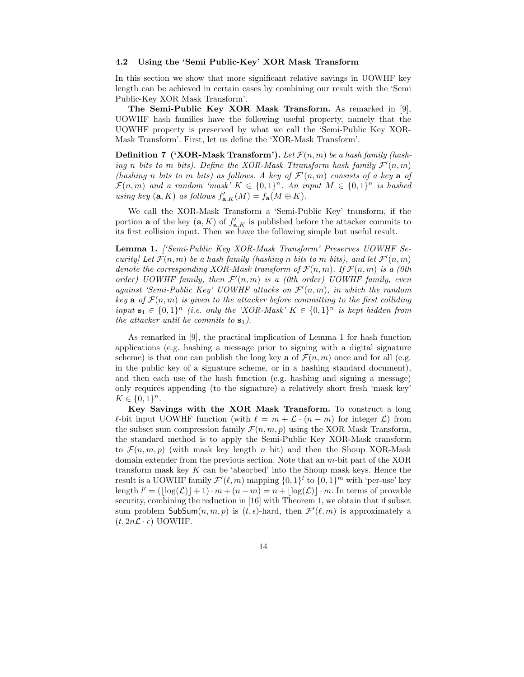### 4.2 Using the 'Semi Public-Key' XOR Mask Transform

In this section we show that more significant relative savings in UOWHF key length can be achieved in certain cases by combining our result with the 'Semi Public-Key XOR Mask Transform'.

The Semi-Public Key XOR Mask Transform. As remarked in [9], UOWHF hash families have the following useful property, namely that the UOWHF property is preserved by what we call the 'Semi-Public Key XOR-Mask Transform'. First, let us define the 'XOR-Mask Transform'.

**Definition 7 ('XOR-Mask Transform').** Let  $\mathcal{F}(n,m)$  be a hash family (hashing n bits to m bits). Define the XOR-Mask Ttransform hash family  $\mathcal{F}'(n,m)$ (hashing n bits to m bits) as follows. A key of  $\mathcal{F}'(n,m)$  consists of a key a of  $\mathcal{F}(n,m)$  and a random 'mask'  $K \in \{0,1\}^n$ . An input  $M \in \{0,1\}^n$  is hashed using key  $(\mathbf{a}, K)$  as follows  $f'_{\mathbf{a}, K}(M) = f_{\mathbf{a}}(M \oplus K)$ .

We call the XOR-Mask Transform a 'Semi-Public Key' transform, if the portion **a** of the key  $(a, K)$  of  $f'_{a,K}$  is published before the attacker commits to its first collision input. Then we have the following simple but useful result.

Lemma 1. ['Semi-Public Key XOR-Mask Transform' Preserves UOWHF Security] Let  $\mathcal{F}(n,m)$  be a hash family (hashing n bits to m bits), and let  $\mathcal{F}'(n,m)$ denote the corresponding XOR-Mask transform of  $\mathcal{F}(n,m)$ . If  $\mathcal{F}(n,m)$  is a (0th order) UOWHF family, then  $\mathcal{F}'(n,m)$  is a (0th order) UOWHF family, even against 'Semi-Public Key' UOWHF attacks on  $\mathcal{F}'(n,m)$ , in which the random key a of  $\mathcal{F}(n,m)$  is given to the attacker before committing to the first colliding input  $\mathbf{s}_1 \in \{0,1\}^n$  (i.e. only the 'XOR-Mask'  $K \in \{0,1\}^n$  is kept hidden from the attacker until he commits to  $s_1$ ).

As remarked in [9], the practical implication of Lemma 1 for hash function applications (e.g. hashing a message prior to signing with a digital signature scheme) is that one can publish the long key **a** of  $\mathcal{F}(n,m)$  once and for all (e.g. in the public key of a signature scheme, or in a hashing standard document), and then each use of the hash function (e.g. hashing and signing a message) only requires appending (to the signature) a relatively short fresh 'mask key'  $K \in \{0,1\}^n$ .

Key Savings with the XOR Mask Transform. To construct a long  $\ell$ -bit input UOWHF function (with  $\ell = m + \mathcal{L} \cdot (n - m)$  for integer  $\mathcal{L}$ ) from the subset sum compression family  $\mathcal{F}(n, m, p)$  using the XOR Mask Transform, the standard method is to apply the Semi-Public Key XOR-Mask transform to  $\mathcal{F}(n,m,p)$  (with mask key length n bit) and then the Shoup XOR-Mask domain extender from the previous section. Note that an m-bit part of the XOR transform mask key  $K$  can be 'absorbed' into the Shoup mask keys. Hence the result is a UOWHF family  $\mathcal{F}'(\ell,m)$  mapping  $\{0,1\}^l$  to  $\{0,1\}^m$  with 'per-use' key length  $l' = (\lfloor \log(\mathcal{L}) \rfloor + 1) \cdot m + (n - m) = n + \lfloor \log(\mathcal{L}) \rfloor \cdot m$ . In terms of provable security, combining the reduction in [16] with Theorem 1, we obtain that if subset sum problem  $\mathsf{SubSum}(n, m, p)$  is  $(t, \epsilon)$ -hard, then  $\mathcal{F}'(\ell, m)$  is approximately a  $(t, 2n\mathcal{L} \cdot \epsilon)$  UOWHF.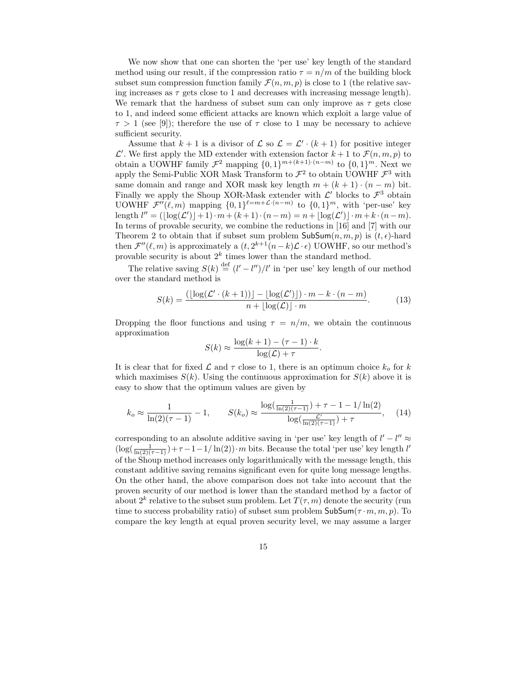We now show that one can shorten the 'per use' key length of the standard method using our result, if the compression ratio  $\tau = n/m$  of the building block subset sum compression function family  $\mathcal{F}(n, m, p)$  is close to 1 (the relative saving increases as  $\tau$  gets close to 1 and decreases with increasing message length). We remark that the hardness of subset sum can only improve as  $\tau$  gets close to 1, and indeed some efficient attacks are known which exploit a large value of  $\tau > 1$  (see [9]); therefore the use of  $\tau$  close to 1 may be necessary to achieve sufficient security.

Assume that  $k+1$  is a divisor of  $\mathcal L$  so  $\mathcal L = \mathcal L' \cdot (k+1)$  for positive integer  $\mathcal{L}'$ . We first apply the MD extender with extension factor  $k+1$  to  $\mathcal{F}(n,m,p)$  to obtain a UOWHF family  $\mathcal{F}^2$  mapping  $\{0,1\}^{m+(k+1)\cdot(n-m)}$  to  $\{0,1\}^m$ . Next we apply the Semi-Public XOR Mask Transform to  $\mathcal{F}^2$  to obtain UOWHF  $\mathcal{F}^3$  with same domain and range and XOR mask key length  $m + (k + 1) \cdot (n - m)$  bit. Finally we apply the Shoup XOR-Mask extender with  $\mathcal{L}'$  blocks to  $\mathcal{F}^3$  obtain UOWHF  $\mathcal{F}''(\ell,m)$  mapping  $\{0,1\}^{\ell=m+\mathcal{L}\cdot(n-m)}$  to  $\{0,1\}^m$ , with 'per-use' key length  $l'' = (\lfloor \log(\mathcal{L}') \rfloor + 1) \cdot m + (k+1) \cdot (n-m) = n + \lfloor \log(\mathcal{L}') \rfloor \cdot m + k \cdot (n-m).$ In terms of provable security, we combine the reductions in [16] and [7] with our Theorem 2 to obtain that if subset sum problem  $\mathsf{SubSum}(n, m, p)$  is  $(t, \epsilon)$ -hard then  $\mathcal{F}''(\ell,m)$  is approximately a  $(t, 2^{k+1}(n-k)\mathcal{L}\cdot\epsilon)$  UOWHF, so our method's provable security is about  $2^k$  times lower than the standard method.

The relative saving  $S(k) \stackrel{\text{def}}{=} (l' - l'')/l'$  in 'per use' key length of our method over the standard method is

$$
S(k) = \frac{(\lfloor \log(\mathcal{L}' \cdot (k+1)) \rfloor - \lfloor \log(\mathcal{L}') \rfloor) \cdot m - k \cdot (n-m)}{n + \lfloor \log(\mathcal{L}) \rfloor \cdot m}.
$$
 (13)

Dropping the floor functions and using  $\tau = n/m$ , we obtain the continuous approximation

$$
S(k) \approx \frac{\log(k+1) - (\tau - 1) \cdot k}{\log(\mathcal{L}) + \tau}.
$$

It is clear that for fixed  $\mathcal L$  and  $\tau$  close to 1, there is an optimum choice  $k_o$  for k which maximises  $S(k)$ . Using the continuous approximation for  $S(k)$  above it is easy to show that the optimum values are given by

$$
k_o \approx \frac{1}{\ln(2)(\tau - 1)} - 1, \qquad S(k_o) \approx \frac{\log(\frac{1}{\ln(2)(\tau - 1)}) + \tau - 1 - 1/\ln(2)}{\log(\frac{\mathcal{L}'}{\ln(2)(\tau - 1)}) + \tau}, \quad (14)
$$

corresponding to an absolute additive saving in 'per use' key length of  $l' - l'' \approx$  $\left(\log\left(\frac{1}{\ln(2)(\tau-1)}\right) + \tau-1-1/\ln(2)\right)$  m bits. Because the total 'per use' key length l' of the Shoup method increases only logarithmically with the message length, this constant additive saving remains significant even for quite long message lengths. On the other hand, the above comparison does not take into account that the proven security of our method is lower than the standard method by a factor of about  $2^k$  relative to the subset sum problem. Let  $T(\tau, m)$  denote the security (run time to success probability ratio) of subset sum problem  $\mathsf{SubSum}(\tau \cdot m, m, p)$ . To compare the key length at equal proven security level, we may assume a larger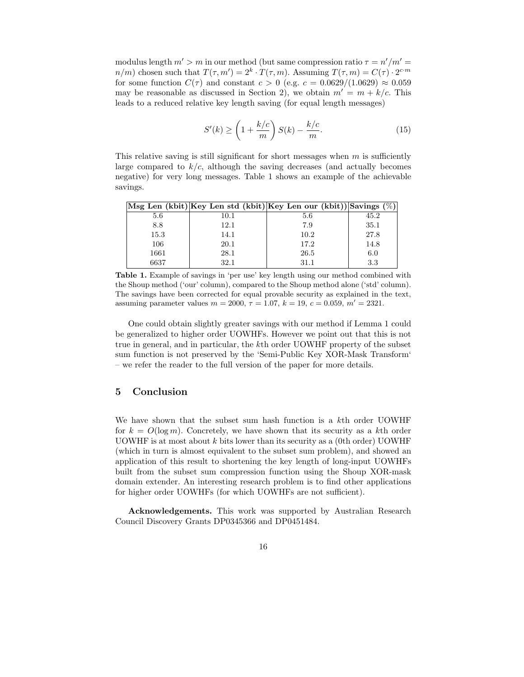modulus length  $m' > m$  in our method (but same compression ratio  $\tau = n'/m' =$  $n/m$ ) chosen such that  $T(\tau, m') = 2^k \cdot T(\tau, m)$ . Assuming  $T(\tau, m) = C(\tau) \cdot 2^{c \cdot m}$ for some function  $C(\tau)$  and constant  $c > 0$  (e.g.  $c = 0.0629/(1.0629) \approx 0.059$ may be reasonable as discussed in Section 2), we obtain  $m' = m + k/c$ . This leads to a reduced relative key length saving (for equal length messages)

$$
S'(k) \ge \left(1 + \frac{k/c}{m}\right)S(k) - \frac{k/c}{m}.\tag{15}
$$

This relative saving is still significant for short messages when  $m$  is sufficiently large compared to  $k/c$ , although the saving decreases (and actually becomes negative) for very long messages. Table 1 shows an example of the achievable savings.

|      |      | Msg Len (kbit) Key Len std (kbit) Key Len our (kbit) Savings $(\%)$ |      |
|------|------|---------------------------------------------------------------------|------|
| 5.6  | 10.1 | 5.6                                                                 | 45.2 |
| 8.8  | 12.1 | 7.9                                                                 | 35.1 |
| 15.3 | 14.1 | 10.2                                                                | 27.8 |
| 106  | 20.1 | 17.2                                                                | 14.8 |
| 1661 | 28.1 | 26.5                                                                | 6.0  |
| 6637 | 32.1 | 31.1                                                                | 3.3  |

Table 1. Example of savings in 'per use' key length using our method combined with the Shoup method ('our' column), compared to the Shoup method alone ('std' column). The savings have been corrected for equal provable security as explained in the text, assuming parameter values  $m = 2000$ ,  $\tau = 1.07$ ,  $k = 19$ ,  $c = 0.059$ ,  $m' = 2321$ .

One could obtain slightly greater savings with our method if Lemma 1 could be generalized to higher order UOWHFs. However we point out that this is not true in general, and in particular, the kth order UOWHF property of the subset sum function is not preserved by the 'Semi-Public Key XOR-Mask Transform' – we refer the reader to the full version of the paper for more details.

# 5 Conclusion

We have shown that the subset sum hash function is a kth order UOWHF for  $k = O(\log m)$ . Concretely, we have shown that its security as a kth order UOWHF is at most about  $k$  bits lower than its security as a (0th order) UOWHF (which in turn is almost equivalent to the subset sum problem), and showed an application of this result to shortening the key length of long-input UOWHFs built from the subset sum compression function using the Shoup XOR-mask domain extender. An interesting research problem is to find other applications for higher order UOWHFs (for which UOWHFs are not sufficient).

Acknowledgements. This work was supported by Australian Research Council Discovery Grants DP0345366 and DP0451484.